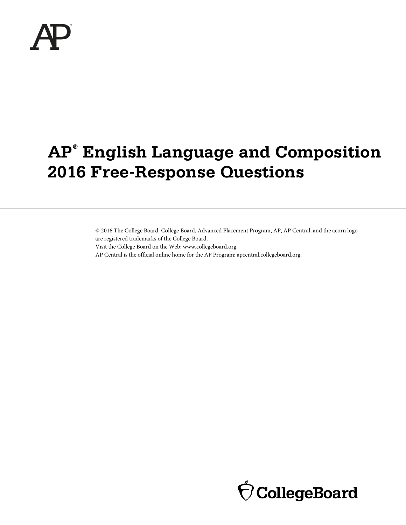

# **AP® English Language and Composition 2016 Free-Response Questions**

© 2016 The College Board. College Board, Advanced Placement Program, AP, AP Central, and the acorn logo are registered trademarks of the College Board.

Visit the College Board on the Web: [www.collegeboard.org.](www.collegeboard.org)

AP Central is the official online home for the AP Program: [apcentral.collegeboard.org.](apcentral.collegeboard.org)

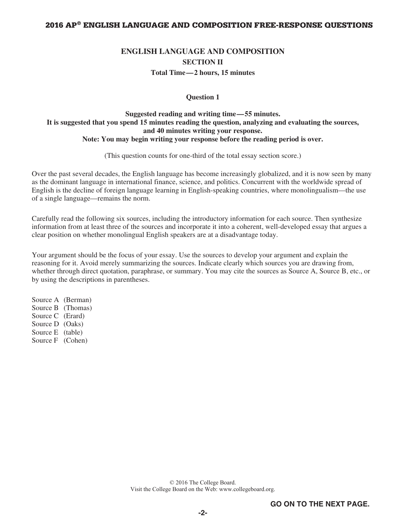# **ENGLISH LANGUAGE AND COMPOSITION SECTION II Total Time—2 hours, 15 minutes**

#### **Question 1**

## **Suggested reading and writing time—55 minutes. It is suggested that you spend 15 minutes reading the question, analyzing and evaluating the sources, and 40 minutes writing your response. Note: You may begin writing your response before the reading period is over.**

(This question counts for one-third of the total essay section score.)

Over the past several decades, the English language has become increasingly globalized, and it is now seen by many as the dominant language in international finance, science, and politics. Concurrent with the worldwide spread of English is the decline of foreign language learning in English-speaking countries, where monolingualism—the use of a single language—remains the norm.

Carefully read the following six sources, including the introductory information for each source. Then synthesize information from at least three of the sources and incorporate it into a coherent, well-developed essay that argues a clear position on whether monolingual English speakers are at a disadvantage today.

Your argument should be the focus of your essay. Use the sources to develop your argument and explain the reasoning for it. Avoid merely summarizing the sources. Indicate clearly which sources you are drawing from, whether through direct quotation, paraphrase, or summary. You may cite the sources as Source A, Source B, etc., or by using the descriptions in parentheses.

Source A (Berman) Source B (Thomas) Source C (Erard) Source D (Oaks) Source E (table) Source F (Cohen)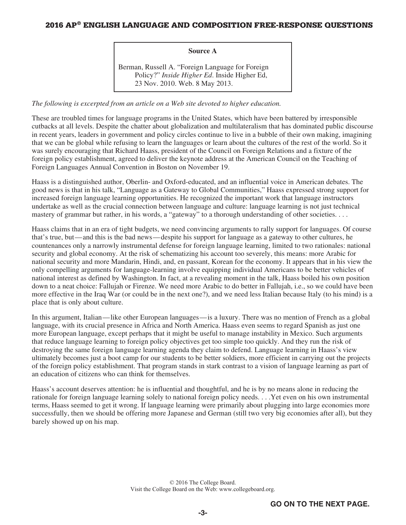#### **Source A**

Berman, Russell A. "Foreign Language for Foreign Policy?" *Inside Higher Ed*. Inside Higher Ed, 23 Nov. 2010. Web. 8 May 2013.

*The following is excerpted from an article on a Web site devoted to higher education.* 

These are troubled times for language programs in the United States, which have been battered by irresponsible cutbacks at all levels. Despite the chatter about globalization and multilateralism that has dominated public discourse in recent years, leaders in government and policy circles continue to live in a bubble of their own making, imagining that we can be global while refusing to learn the languages or learn about the cultures of the rest of the world. So it was surely encouraging that Richard Haass, president of the Council on Foreign Relations and a fixture of the foreign policy establishment, agreed to deliver the keynote address at the American Council on the Teaching of Foreign Languages Annual Convention in Boston on November 19.

Haass is a distinguished author, Oberlin- and Oxford-educated, and an influential voice in American debates. The good news is that in his talk, "Language as a Gateway to Global Communities," Haass expressed strong support for increased foreign language learning opportunities. He recognized the important work that language instructors undertake as well as the crucial connection between language and culture: language learning is not just technical mastery of grammar but rather, in his words, a "gateway" to a thorough understanding of other societies. . . .

Haass claims that in an era of tight budgets, we need convincing arguments to rally support for languages. Of course that's true, but—and this is the bad news—despite his support for language as a gateway to other cultures, he countenances only a narrowly instrumental defense for foreign language learning, limited to two rationales: national security and global economy. At the risk of schematizing his account too severely, this means: more Arabic for national security and more Mandarin, Hindi, and, en passant, Korean for the economy. It appears that in his view the only compelling arguments for language-learning involve equipping individual Americans to be better vehicles of national interest as defined by Washington. In fact, at a revealing moment in the talk, Haass boiled his own position down to a neat choice: Fallujah or Firenze. We need more Arabic to do better in Fallujah, i.e., so we could have been more effective in the Iraq War (or could be in the next one?), and we need less Italian because Italy (to his mind) is a place that is only about culture.

In this argument, Italian—like other European languages—is a luxury. There was no mention of French as a global language, with its crucial presence in Africa and North America. Haass even seems to regard Spanish as just one more European language, except perhaps that it might be useful to manage instability in Mexico. Such arguments that reduce language learning to foreign policy objectives get too simple too quickly. And they run the risk of destroying the same foreign language learning agenda they claim to defend. Language learning in Haass's view ultimately becomes just a boot camp for our students to be better soldiers, more efficient in carrying out the projects of the foreign policy establishment. That program stands in stark contrast to a vision of language learning as part of an education of citizens who can think for themselves.

Haass's account deserves attention: he is influential and thoughtful, and he is by no means alone in reducing the rationale for foreign language learning solely to national foreign policy needs. . . .Yet even on his own instrumental terms, Haass seemed to get it wrong. If language learning were primarily about plugging into large economies more successfully, then we should be offering more Japanese and German (still two very big economies after all), but they barely showed up on his map.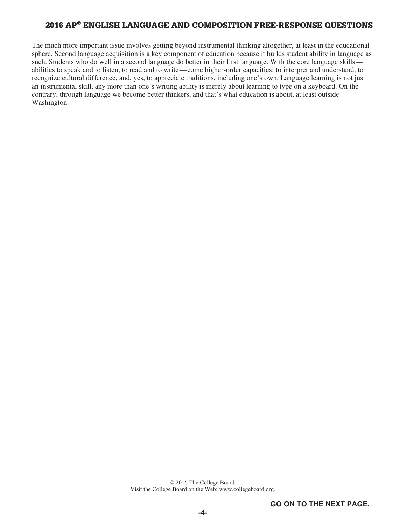The much more important issue involves getting beyond instrumental thinking altogether, at least in the educational sphere. Second language acquisition is a key component of education because it builds student ability in language as such. Students who do well in a second language do better in their first language. With the core language skills abilities to speak and to listen, to read and to write—come higher-order capacities: to interpret and understand, to recognize cultural difference, and, yes, to appreciate traditions, including one's own. Language learning is not just an instrumental skill, any more than one's writing ability is merely about learning to type on a keyboard. On the contrary, through language we become better thinkers, and that's what education is about, at least outside Washington.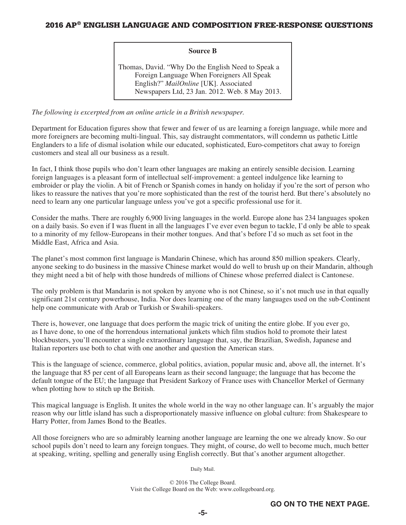#### **Source B**

Thomas, David. "Why Do the English Need to Speak a Foreign Language When Foreigners All Speak English?" *MailOnline* [UK]. Associated Newspapers Ltd, 23 Jan. 2012. Web. 8 May 2013.

*The following is excerpted from an online article in a British newspaper.* 

Department for Education figures show that fewer and fewer of us are learning a foreign language, while more and more foreigners are becoming multi-lingual. This, say distraught commentators, will condemn us pathetic Little Englanders to a life of dismal isolation while our educated, sophisticated, Euro-competitors chat away to foreign customers and steal all our business as a result.

In fact, I think those pupils who don't learn other languages are making an entirely sensible decision. Learning foreign languages is a pleasant form of intellectual self-improvement: a genteel indulgence like learning to embroider or play the violin. A bit of French or Spanish comes in handy on holiday if you're the sort of person who likes to reassure the natives that you're more sophisticated than the rest of the tourist herd. But there's absolutely no need to learn any one particular language unless you've got a specific professional use for it.

Consider the maths. There are roughly 6,900 living languages in the world. Europe alone has 234 languages spoken on a daily basis. So even if I was fluent in all the languages I've ever even begun to tackle, I'd only be able to speak to a minority of my fellow-Europeans in their mother tongues. And that's before I'd so much as set foot in the Middle East, Africa and Asia.

The planet's most common first language is Mandarin Chinese, which has around 850 million speakers. Clearly, anyone seeking to do business in the massive Chinese market would do well to brush up on their Mandarin, although they might need a bit of help with those hundreds of millions of Chinese whose preferred dialect is Cantonese.

The only problem is that Mandarin is not spoken by anyone who is not Chinese, so it's not much use in that equally significant 21st century powerhouse, India. Nor does learning one of the many languages used on the sub-Continent help one communicate with Arab or Turkish or Swahili-speakers.

There is, however, one language that does perform the magic trick of uniting the entire globe. If you ever go, as I have done, to one of the horrendous international junkets which film studios hold to promote their latest blockbusters, you'll encounter a single extraordinary language that, say, the Brazilian, Swedish, Japanese and Italian reporters use both to chat with one another and question the American stars.

This is the language of science, commerce, global politics, aviation, popular music and, above all, the internet. It's the language that 85 per cent of all Europeans learn as their second language; the language that has become the default tongue of the EU; the language that President Sarkozy of France uses with Chancellor Merkel of Germany when plotting how to stitch up the British.

This magical language is English. It unites the whole world in the way no other language can. It's arguably the major reason why our little island has such a disproportionately massive influence on global culture: from Shakespeare to Harry Potter, from James Bond to the Beatles.

All those foreigners who are so admirably learning another language are learning the one we already know. So our school pupils don't need to learn any foreign tongues. They might, of course, do well to become much, much better at speaking, writing, spelling and generally using English correctly. But that's another argument altogether.

Daily Mail.

© 2016 The College Board. Visit the College Board on the Web: www.collegeboard.org.

**-5-**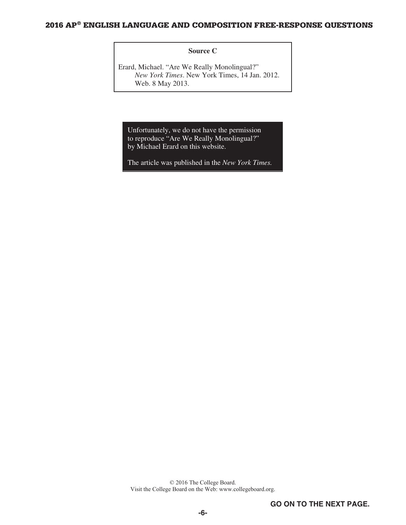#### **Source C**

Erard, Michael. "Are We Really Monolingual?" *New York Times*. New York Times, 14 Jan. 2012. Web. 8 May 2013.

Unfortunately, we do not have the permission to reproduce "Are We Really Monolingual?" by Michael Erard on this website.

The article was published in the *New York Times.*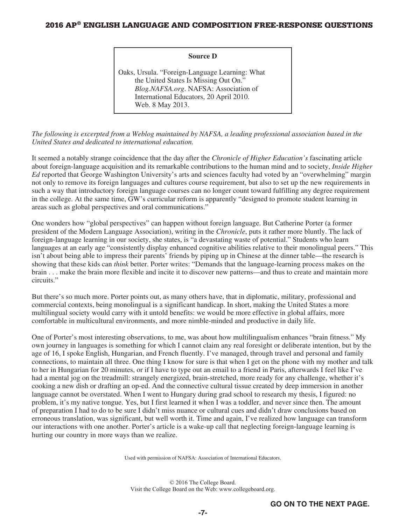#### **Source D**

Oaks, Ursula. "Foreign-Language Learning: What the United States Is Missing Out On." *Blog.NAFSA.org*. NAFSA: Association of International Educators, 20 April 2010. Web. 8 May 2013.

*The following is excerpted from a Weblog maintained by NAFSA, a leading professional association based in the United States and dedicated to international education.* 

It seemed a notably strange coincidence that the day after the *Chronicle of Higher Education's* fascinating article about foreign-language acquisition and its remarkable contributions to the human mind and to society, *Inside Higher Ed* reported that George Washington University's arts and sciences faculty had voted by an "overwhelming" margin not only to remove its foreign languages and cultures course requirement, but also to set up the new requirements in such a way that introductory foreign language courses can no longer count toward fulfilling any degree requirement in the college. At the same time, GW's curricular reform is apparently "designed to promote student learning in areas such as global perspectives and oral communications."

One wonders how "global perspectives" can happen without foreign language. But Catherine Porter (a former president of the Modern Language Association), writing in the *Chronicle*, puts it rather more bluntly. The lack of foreign-language learning in our society, she states, is "a devastating waste of potential." Students who learn languages at an early age "consistently display enhanced cognitive abilities relative to their monolingual peers." This isn't about being able to impress their parents' friends by piping up in Chinese at the dinner table—the research is showing that these kids can *think* better. Porter writes: "Demands that the language-learning process makes on the brain . . . make the brain more flexible and incite it to discover new patterns—and thus to create and maintain more circuits."

But there's so much more. Porter points out, as many others have, that in diplomatic, military, professional and commercial contexts, being monolingual is a significant handicap. In short, making the United States a more multilingual society would carry with it untold benefits: we would be more effective in global affairs, more comfortable in multicultural environments, and more nimble-minded and productive in daily life.

One of Porter's most interesting observations, to me, was about how multilingualism enhances "brain fitness." My own journey in languages is something for which I cannot claim any real foresight or deliberate intention, but by the age of 16, I spoke English, Hungarian, and French fluently. I've managed, through travel and personal and family connections, to maintain all three. One thing I know for sure is that when I get on the phone with my mother and talk to her in Hungarian for 20 minutes, or if I have to type out an email to a friend in Paris, afterwards I feel like I've had a mental jog on the treadmill: strangely energized, brain-stretched, more ready for any challenge, whether it's cooking a new dish or drafting an op-ed. And the connective cultural tissue created by deep immersion in another language cannot be overstated. When I went to Hungary during grad school to research my thesis, I figured: no problem, it's my native tongue. Yes, but I first learned it when I was a toddler, and never since then. The amount of preparation I had to do to be sure I didn't miss nuance or cultural cues and didn't draw conclusions based on erroneous translation, was significant, but well worth it. Time and again, I've realized how language can transform our interactions with one another. Porter's article is a wake-up call that neglecting foreign-language learning is hurting our country in more ways than we realize.

Used with permission of NAFSA: Association of International Educators.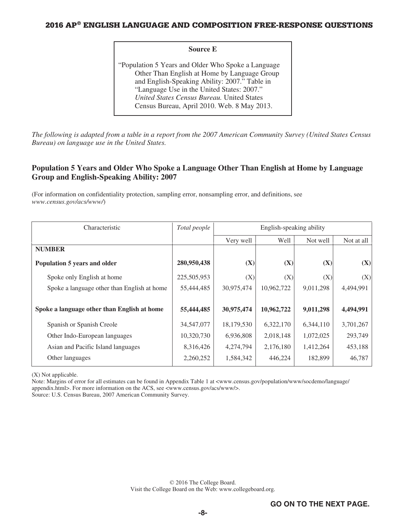#### **Source E**

"Population 5 Years and Older Who Spoke a Language Other Than English at Home by Language Group and English-Speaking Ability: 2007." Table in "Language Use in the United States: 2007." *United States Census Bureau.* United States Census Bureau, April 2010. Web. 8 May 2013.

*The following is adapted from a table in a report from the 2007 American Community Survey (United States Census Bureau) on language use in the United States.* 

## **Population 5 Years and Older Who Spoke a Language Other Than English at Home by Language Group and English-Speaking Ability: 2007**

(For information on confidentiality protection, sampling error, nonsampling error, and definitions, see *<www.census.gov/acs/www/>*)

| Characteristic                              | Total people | English-speaking ability |            |           |            |
|---------------------------------------------|--------------|--------------------------|------------|-----------|------------|
|                                             |              | Very well                | Well       | Not well  | Not at all |
| <b>NUMBER</b>                               |              |                          |            |           |            |
| Population 5 years and older                | 280,950,438  | (X)                      | (X)        | (X)       | (X)        |
| Spoke only English at home                  | 225,505,953  | (X)                      | (X)        | (X)       | (X)        |
| Spoke a language other than English at home | 55,444,485   | 30,975,474               | 10,962,722 | 9,011,298 | 4,494,991  |
| Spoke a language other than English at home | 55,444,485   | 30,975,474               | 10,962,722 | 9,011,298 | 4,494,991  |
| Spanish or Spanish Creole                   | 34,547,077   | 18,179,530               | 6,322,170  | 6,344,110 | 3,701,267  |
| Other Indo-European languages               | 10,320,730   | 6,936,808                | 2,018,148  | 1,072,025 | 293,749    |
| Asian and Pacific Island languages          | 8,316,426    | 4,274,794                | 2,176,180  | 1,412,264 | 453,188    |
| Other languages                             | 2,260,252    | 1,584,342                | 446,224    | 182,899   | 46,787     |

(X) Not applicable.

Note: Margins of error for all estimates can be found in Appendix Table 1 at <www.census.gov/population/www/socdemo/language/ appendix.html>. For more information on the ACS, see [<www.census.gov/acs/www/>](www.census.gov/acs/www).

Source: U.S. Census Bureau, 2007 American Community Survey.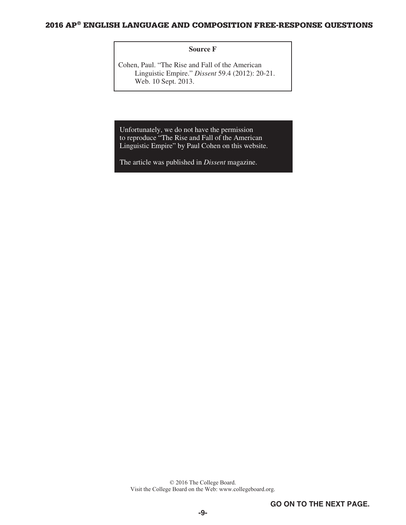#### **Source F**

Cohen, Paul. "The Rise and Fall of the American Linguistic Empire." *Dissent* 59.4 (2012): 20-21. Web. 10 Sept. 2013.

Unfortunately, we do not have the permission to reproduce "The Rise and Fall of the American Linguistic Empire" by Paul Cohen on this website.

The article was published in *Dissent* magazine.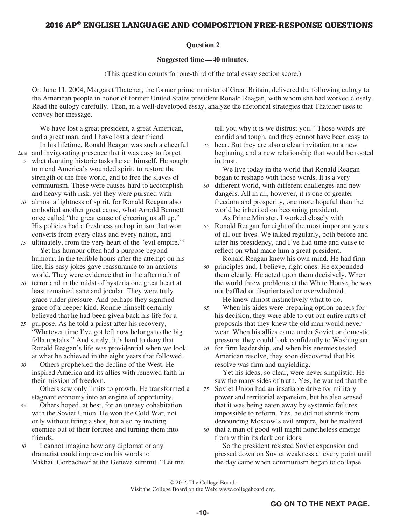#### **Question 2**

#### **Suggested time—40 minutes.**

(This question counts for one-third of the total essay section score.)

On June 11, 2004, Margaret Thatcher, the former prime minister of Great Britain, delivered the following eulogy to the American people in honor of former United States president Ronald Reagan, with whom she had worked closely. Read the eulogy carefully. Then, in a well-developed essay, analyze the rhetorical strategies that Thatcher uses to convey her message.

We have lost a great president, a great American, and a great man, and I have lost a dear friend.

In his lifetime, Ronald Reagan was such a cheerful and invigorating presence that it was easy to forget *Line*

- what daunting historic tasks he set himself. He sought  *5*to mend America's wounded spirit, to restore the strength of the free world, and to free the slaves of communism. These were causes hard to accomplish and heavy with risk, yet they were pursued with
- *10* almost a lightness of spirit, for Ronald Reagan also embodied another great cause, what Arnold Bennett once called "the great cause of cheering us all up." His policies had a freshness and optimism that won converts from every class and every nation, and
- 15 ultimately, from the very heart of the "evil empire."<sup>1</sup> Yet his humour often had a purpose beyond humour. In the terrible hours after the attempt on his life, his easy jokes gave reassurance to an anxious world. They were evidence that in the aftermath of
- *20* terror and in the midst of hysteria one great heart at least remained sane and jocular. They were truly grace under pressure. And perhaps they signified grace of a deeper kind. Ronnie himself certainly believed that he had been given back his life for a
- *25* purpose. As he told a priest after his recovery, "Whatever time I've got left now belongs to the big fella upstairs." And surely, it is hard to deny that Ronald Reagan's life was providential when we look at what he achieved in the eight years that followed.
- *30* Others prophesied the decline of the West. He inspired America and its allies with renewed faith in their mission of freedom.

Others saw only limits to growth. He transformed a stagnant economy into an engine of opportunity.

- *35* Others hoped, at best, for an uneasy cohabitation with the Soviet Union. He won the Cold War, not only without firing a shot, but also by inviting enemies out of their fortress and turning them into friends.
- *40* I cannot imagine how any diplomat or any dramatist could improve on his words to Mikhail Gorbachev<sup>2</sup> at the Geneva summit. "Let me

tell you why it is we distrust you." Those words are candid and tough, and they cannot have been easy to

*45* hear. But they are also a clear invitation to a new beginning and a new relationship that would be rooted in trust.

We live today in the world that Ronald Reagan began to reshape with those words. It is a very

- *50* different world, with different challenges and new dangers. All in all, however, it is one of greater freedom and prosperity, one more hopeful than the world he inherited on becoming president. As Prime Minister, I worked closely with
- *55* Ronald Reagan for eight of the most important years of all our lives. We talked regularly, both before and after his presidency, and I've had time and cause to reflect on what made him a great president.
- Ronald Reagan knew his own mind. He had firm *60* principles and, I believe, right ones. He expounded them clearly. He acted upon them decisively. When the world threw problems at the White House, he was not baffled or disorientated or overwhelmed. He knew almost instinctively what to do.
- *65* When his aides were preparing option papers for his decision, they were able to cut out entire rafts of proposals that they knew the old man would never wear. When his allies came under Soviet or domestic pressure, they could look confidently to Washington
- *70* for firm leadership, and when his enemies tested American resolve, they soon discovered that his resolve was firm and unyielding.

Yet his ideas, so clear, were never simplistic. He saw the many sides of truth. Yes, he warned that the

- *75* Soviet Union had an insatiable drive for military power and territorial expansion, but he also sensed that it was being eaten away by systemic failures impossible to reform. Yes, he did not shrink from denouncing Moscow's evil empire, but he realized
- *80* that a man of good will might nonetheless emerge from within its dark corridors.

So the president resisted Soviet expansion and pressed down on Soviet weakness at every point until the day came when communism began to collapse

#### © 2016 The College Board.

Visit the College Board on the Web: www.collegeboard.org.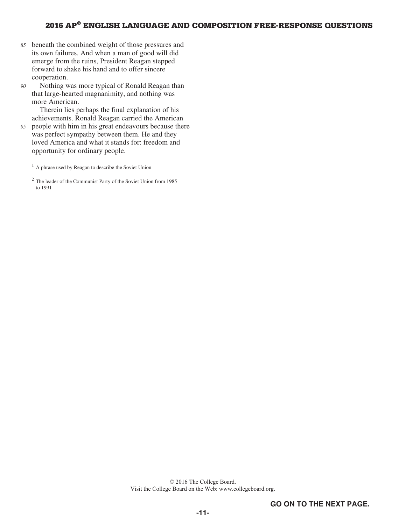- *85* beneath the combined weight of those pressures and its own failures. And when a man of good will did emerge from the ruins, President Reagan stepped forward to shake his hand and to offer sincere cooperation.
- *90* Nothing was more typical of Ronald Reagan than that large-hearted magnanimity, and nothing was more American.

Therein lies perhaps the final explanation of his achievements. Ronald Reagan carried the American

*95* people with him in his great endeavours because there was perfect sympathy between them. He and they loved America and what it stands for: freedom and opportunity for ordinary people.

<sup>&</sup>lt;sup>1</sup> A phrase used by Reagan to describe the Soviet Union

<sup>2</sup> The leader of the Communist Party of the Soviet Union from 1985 to 1991